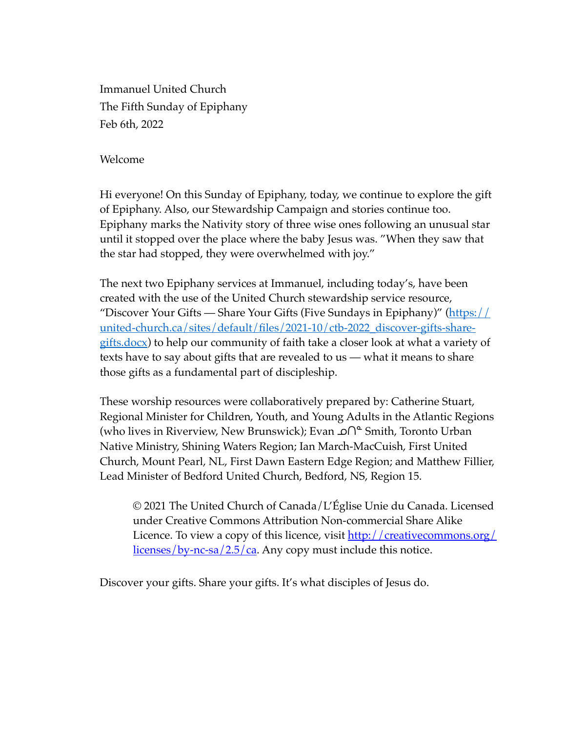Immanuel United Church The Fifth Sunday of Epiphany Feb 6th, 2022

#### Welcome

Hi everyone! On this Sunday of Epiphany, today, we continue to explore the gift of Epiphany. Also, our Stewardship Campaign and stories continue too. Epiphany marks the Nativity story of three wise ones following an unusual star until it stopped over the place where the baby Jesus was. "When they saw that the star had stopped, they were overwhelmed with joy."

The next two Epiphany services at Immanuel, including today's, have been created with the use of the United Church stewardship service resource, "Discover Your Gifts — Share Your Gifts (Five Sundays in Epiphany)" ( $\frac{https://}{https://}$ [united-church.ca/sites/default/files/2021-10/ctb-2022\\_discover-gifts-share](https://united-church.ca/sites/default/files/2021-10/ctb-2022_discover-gifts-share-gifts.docx)[gifts.docx\)](https://united-church.ca/sites/default/files/2021-10/ctb-2022_discover-gifts-share-gifts.docx) to help our community of faith take a closer look at what a variety of texts have to say about gifts that are revealed to us — what it means to share those gifts as a fundamental part of discipleship.

These worship resources were collaboratively prepared by: Catherine Stuart, Regional Minister for Children, Youth, and Young Adults in the Atlantic Regions (who lives in Riverview, New Brunswick); Evan ᓄᑎᓐ Smith, Toronto Urban Native Ministry, Shining Waters Region; Ian March-MacCuish, First United Church, Mount Pearl, NL, First Dawn Eastern Edge Region; and Matthew Fillier, Lead Minister of Bedford United Church, Bedford, NS, Region 15.

© 2021 The United Church of Canada/L'Église Unie du Canada. Licensed under Creative Commons Attribution Non-commercial Share Alike Licence. To view a copy of this licence, visit  $\frac{http://creativecommons.org/licenses/by/1/3/2/}{http://creativecommons.org/licenses/by/1/3/2/2/2/2/2/}$  $\frac{licenses/by-nc-sa/2.5/ca}$ . Any copy must include this notice.

Discover your gifts. Share your gifts. It's what disciples of Jesus do.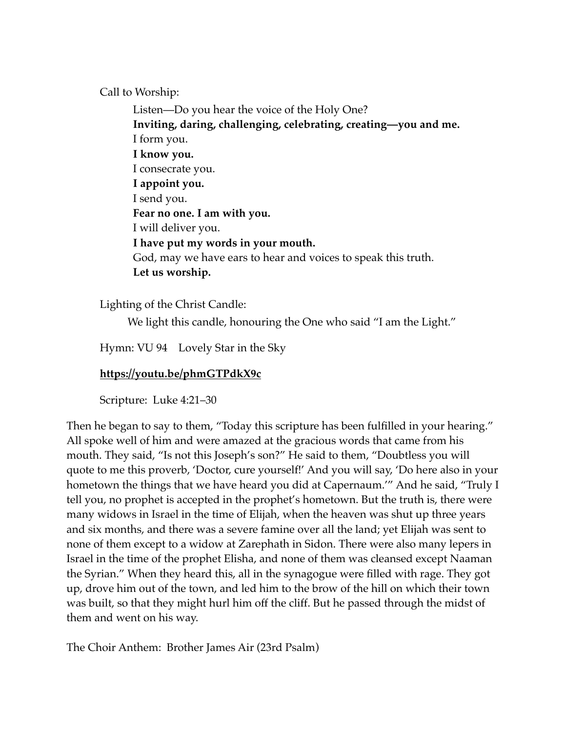Call to Worship:

Listen―Do you hear the voice of the Holy One? **Inviting, daring, challenging, celebrating, creating―you and me.** I form you. **I know you.** I consecrate you. **I appoint you.** I send you. **Fear no one. I am with you.** I will deliver you. **I have put my words in your mouth.** God, may we have ears to hear and voices to speak this truth. **Let us worship.**

Lighting of the Christ Candle:

We light this candle, honouring the One who said "I am the Light."

Hymn: VU 94 Lovely Star in the Sky

# **<https://youtu.be/phmGTPdkX9c>**

Scripture: Luke 4:21–30

Then he began to say to them, "Today this scripture has been fulfilled in your hearing." All spoke well of him and were amazed at the gracious words that came from his mouth. They said, "Is not this Joseph's son?" He said to them, "Doubtless you will quote to me this proverb, 'Doctor, cure yourself!' And you will say, 'Do here also in your hometown the things that we have heard you did at Capernaum.'" And he said, "Truly I tell you, no prophet is accepted in the prophet's hometown. But the truth is, there were many widows in Israel in the time of Elijah, when the heaven was shut up three years and six months, and there was a severe famine over all the land; yet Elijah was sent to none of them except to a widow at Zarephath in Sidon. There were also many lepers in Israel in the time of the prophet Elisha, and none of them was cleansed except Naaman the Syrian." When they heard this, all in the synagogue were filled with rage. They got up, drove him out of the town, and led him to the brow of the hill on which their town was built, so that they might hurl him off the cliff. But he passed through the midst of them and went on his way.

The Choir Anthem: Brother James Air (23rd Psalm)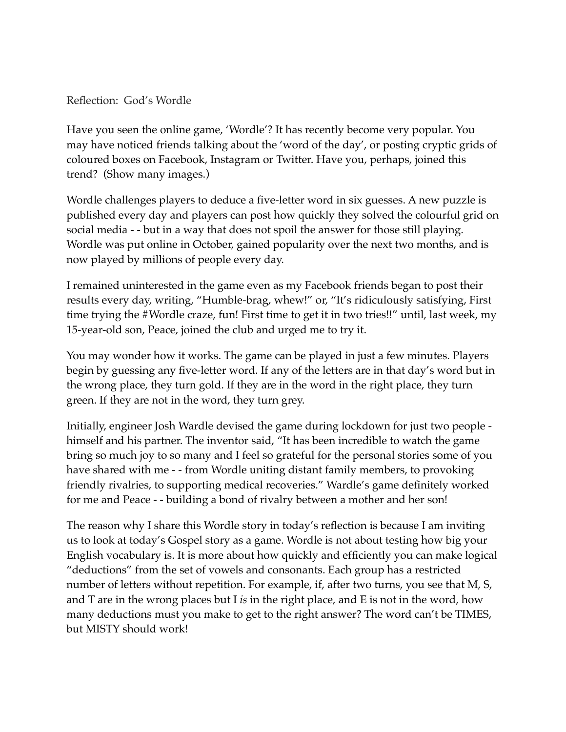Reflection: God's Wordle

Have you seen the online game, 'Wordle'? It has recently become very popular. You may have noticed friends talking about the 'word of the day', or posting cryptic grids of coloured boxes on Facebook, Instagram or Twitter. Have you, perhaps, joined this trend? (Show many images.)

Wordle challenges players to deduce a five-letter word in six guesses. A new puzzle is published every day and players can post how quickly they solved the colourful grid on social media - - but in a way that does not spoil the answer for those still playing. Wordle was put online in October, gained popularity over the next two months, and is now played by millions of people every day.

I remained uninterested in the game even as my Facebook friends began to post their results every day, writing, "Humble-brag, whew!" or, "It's ridiculously satisfying, First time trying the #Wordle craze, fun! First time to get it in two tries!!" until, last week, my 15-year-old son, Peace, joined the club and urged me to try it.

You may wonder how it works. The game can be played in just a few minutes. Players begin by guessing any five-letter word. If any of the letters are in that day's word but in the wrong place, they turn gold. If they are in the word in the right place, they turn green. If they are not in the word, they turn grey.

Initially, engineer Josh Wardle devised the game during lockdown for just two people himself and his partner. The inventor said, "It has been incredible to watch the game bring so much joy to so many and I feel so grateful for the personal stories some of you have shared with me - - from Wordle uniting distant family members, to provoking friendly rivalries, to supporting medical recoveries." Wardle's game definitely worked for me and Peace - - building a bond of rivalry between a mother and her son!

The reason why I share this Wordle story in today's reflection is because I am inviting us to look at today's Gospel story as a game. Wordle is not about testing how big your English vocabulary is. It is more about how quickly and efficiently you can make logical "deductions" from the set of vowels and consonants. Each group has a restricted number of letters without repetition. For example, if, after two turns, you see that M, S, and T are in the wrong places but I *is* in the right place, and E is not in the word, how many deductions must you make to get to the right answer? The word can't be TIMES, but MISTY should work!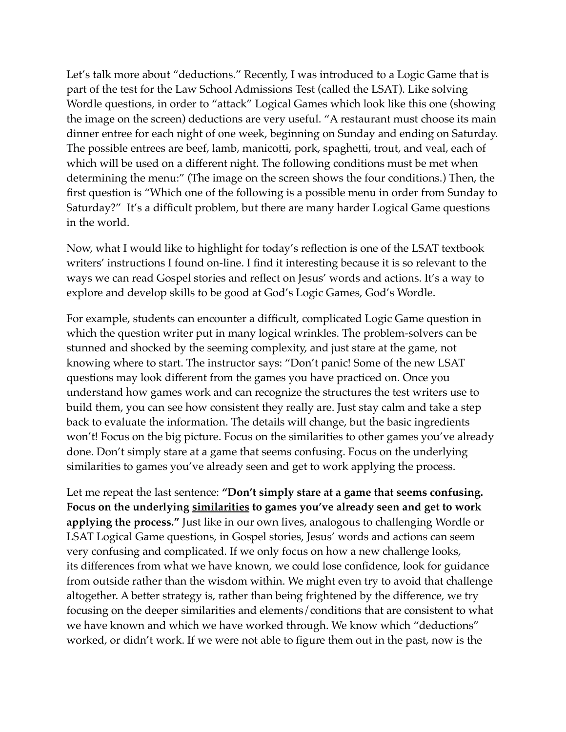Let's talk more about "deductions." Recently, I was introduced to a Logic Game that is part of the test for the Law School Admissions Test (called the LSAT). Like solving Wordle questions, in order to "attack" Logical Games which look like this one (showing the image on the screen) deductions are very useful. "A restaurant must choose its main dinner entree for each night of one week, beginning on Sunday and ending on Saturday. The possible entrees are beef, lamb, manicotti, pork, spaghetti, trout, and veal, each of which will be used on a different night. The following conditions must be met when determining the menu:" (The image on the screen shows the four conditions.) Then, the first question is "Which one of the following is a possible menu in order from Sunday to Saturday?" It's a difficult problem, but there are many harder Logical Game questions in the world.

Now, what I would like to highlight for today's reflection is one of the LSAT textbook writers' instructions I found on-line. I find it interesting because it is so relevant to the ways we can read Gospel stories and reflect on Jesus' words and actions. It's a way to explore and develop skills to be good at God's Logic Games, God's Wordle.

For example, students can encounter a difficult, complicated Logic Game question in which the question writer put in many logical wrinkles. The problem-solvers can be stunned and shocked by the seeming complexity, and just stare at the game, not knowing where to start. The instructor says: "Don't panic! Some of the new LSAT questions may look different from the games you have practiced on. Once you understand how games work and can recognize the structures the test writers use to build them, you can see how consistent they really are. Just stay calm and take a step back to evaluate the information. The details will change, but the basic ingredients won't! Focus on the big picture. Focus on the similarities to other games you've already done. Don't simply stare at a game that seems confusing. Focus on the underlying similarities to games you've already seen and get to work applying the process.

Let me repeat the last sentence: **"Don't simply stare at a game that seems confusing. Focus on the underlying similarities to games you've already seen and get to work applying the process."** Just like in our own lives, analogous to challenging Wordle or LSAT Logical Game questions, in Gospel stories, Jesus' words and actions can seem very confusing and complicated. If we only focus on how a new challenge looks, its differences from what we have known, we could lose confidence, look for guidance from outside rather than the wisdom within. We might even try to avoid that challenge altogether. A better strategy is, rather than being frightened by the difference, we try focusing on the deeper similarities and elements/conditions that are consistent to what we have known and which we have worked through. We know which "deductions" worked, or didn't work. If we were not able to figure them out in the past, now is the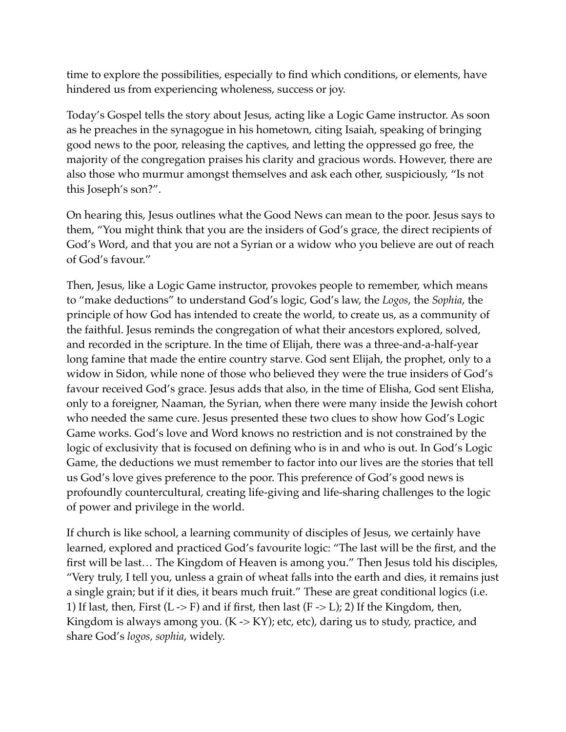time to explore the possibilities, especially to find which conditions, or elements, have hindered us from experiencing wholeness, success or joy.

Today's Gospel tells the story about Jesus, acting like a Logic Game instructor. As soon as he preaches in the synagogue in his hometown, citing Isaiah, speaking of bringing good news to the poor, releasing the captives, and letting the oppressed go free, the majority of the congregation praises his clarity and gracious words. However, there are also those who murmur amongst themselves and ask each other, suspiciously, "Is not this Joseph's son?".

On hearing this, Jesus outlines what the Good News can mean to the poor. Jesus says to them, "You might think that you are the insiders of God's grace, the direct recipients of God's Word, and that you are not a Syrian or a widow who you believe are out of reach of God's favour."

Then, Jesus, like a Logic Game instructor, provokes people to remember, which means to "make deductions" to understand God's logic, God's law, the *Logos*, the *Sophia*, the principle of how God has intended to create the world, to create us, as a community of the faithful. Jesus reminds the congregation of what their ancestors explored, solved, and recorded in the scripture. In the time of Elijah, there was a three-and-a-half-year long famine that made the entire country starve. God sent Elijah, the prophet, only to a widow in Sidon, while none of those who believed they were the true insiders of God's favour received God's grace. Jesus adds that also, in the time of Elisha, God sent Elisha, only to a foreigner, Naaman, the Syrian, when there were many inside the Jewish cohort who needed the same cure. Jesus presented these two clues to show how God's Logic Game works. God's love and Word knows no restriction and is not constrained by the logic of exclusivity that is focused on defining who is in and who is out. In God's Logic Game, the deductions we must remember to factor into our lives are the stories that tell us God's love gives preference to the poor. This preference of God's good news is profoundly countercultural, creating life-giving and life-sharing challenges to the logic of power and privilege in the world.

If church is like school, a learning community of disciples of Jesus, we certainly have learned, explored and practiced God's favourite logic: "The last will be the first, and the first will be last… The Kingdom of Heaven is among you." Then Jesus told his disciples, "Very truly, I tell you, unless a grain of wheat falls into the earth and dies, it remains just a single grain; but if it dies, it bears much fruit." These are great conditional logics (i.e. 1) If last, then, First  $(L \rightarrow F)$  and if first, then last  $(F \rightarrow L)$ ; 2) If the Kingdom, then, Kingdom is always among you.  $(K \rightarrow KY)$ ; etc, etc), daring us to study, practice, and share God's *logos, sophia*, widely.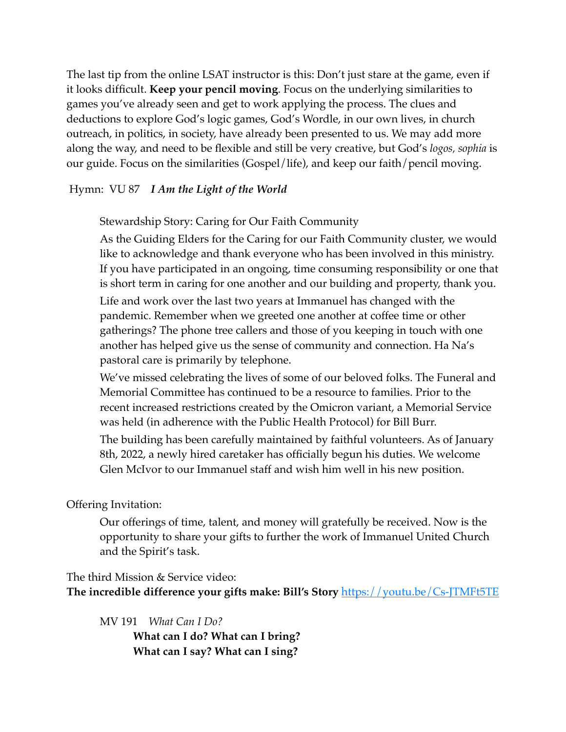The last tip from the online LSAT instructor is this: Don't just stare at the game, even if it looks difficult. **Keep your pencil moving**. Focus on the underlying similarities to games you've already seen and get to work applying the process. The clues and deductions to explore God's logic games, God's Wordle, in our own lives, in church outreach, in politics, in society, have already been presented to us. We may add more along the way, and need to be flexible and still be very creative, but God's *logos, sophia* is our guide. Focus on the similarities (Gospel/life), and keep our faith/pencil moving.

#### Hymn: VU 87 *I Am the Light of the World*

## Stewardship Story: Caring for Our Faith Community

As the Guiding Elders for the Caring for our Faith Community cluster, we would like to acknowledge and thank everyone who has been involved in this ministry. If you have participated in an ongoing, time consuming responsibility or one that is short term in caring for one another and our building and property, thank you.

Life and work over the last two years at Immanuel has changed with the pandemic. Remember when we greeted one another at coffee time or other gatherings? The phone tree callers and those of you keeping in touch with one another has helped give us the sense of community and connection. Ha Na's pastoral care is primarily by telephone.

We've missed celebrating the lives of some of our beloved folks. The Funeral and Memorial Committee has continued to be a resource to families. Prior to the recent increased restrictions created by the Omicron variant, a Memorial Service was held (in adherence with the Public Health Protocol) for Bill Burr.

The building has been carefully maintained by faithful volunteers. As of January 8th, 2022, a newly hired caretaker has officially begun his duties. We welcome Glen McIvor to our Immanuel staff and wish him well in his new position.

## Offering Invitation:

Our offerings of time, talent, and money will gratefully be received. Now is the opportunity to share your gifts to further the work of Immanuel United Church and the Spirit's task.

# The third Mission & Service video: **The incredible difference your gifts make: Bill's Story** <https://youtu.be/Cs-JTMFt5TE>

MV 191 *What Can I Do?* 

**What can I do? What can I bring? What can I say? What can I sing?**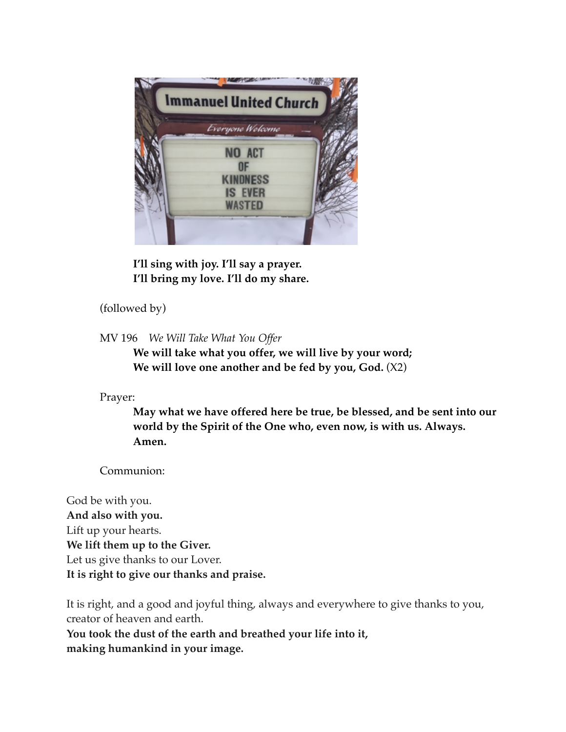

**I'll sing with joy. I'll say a prayer. I'll bring my love. I'll do my share.** 

## (followed by)

MV 196 *We Will Take What You Offer* 

**We will take what you offer, we will live by your word; We will love one another and be fed by you, God.** (X2)

Prayer:

**May what we have offered here be true, be blessed, and be sent into our world by the Spirit of the One who, even now, is with us. Always. Amen.**

Communion:

God be with you. **And also with you.**  Lift up your hearts. **We lift them up to the Giver.** Let us give thanks to our Lover. **It is right to give our thanks and praise.** 

It is right, and a good and joyful thing, always and everywhere to give thanks to you, creator of heaven and earth.

**You took the dust of the earth and breathed your life into it, making humankind in your image.**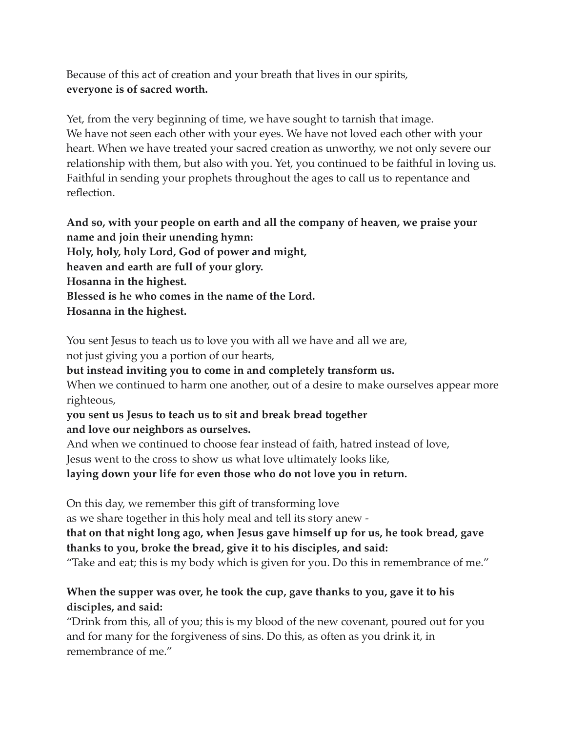Because of this act of creation and your breath that lives in our spirits, **everyone is of sacred worth.** 

Yet, from the very beginning of time, we have sought to tarnish that image. We have not seen each other with your eyes. We have not loved each other with your heart. When we have treated your sacred creation as unworthy, we not only severe our relationship with them, but also with you. Yet, you continued to be faithful in loving us. Faithful in sending your prophets throughout the ages to call us to repentance and reflection.

**And so, with your people on earth and all the company of heaven, we praise your name and join their unending hymn: Holy, holy, holy Lord, God of power and might, heaven and earth are full of your glory. Hosanna in the highest. Blessed is he who comes in the name of the Lord. Hosanna in the highest.** 

You sent Jesus to teach us to love you with all we have and all we are, not just giving you a portion of our hearts,

**but instead inviting you to come in and completely transform us.** When we continued to harm one another, out of a desire to make ourselves appear more righteous,

# **you sent us Jesus to teach us to sit and break bread together and love our neighbors as ourselves.**

And when we continued to choose fear instead of faith, hatred instead of love,

Jesus went to the cross to show us what love ultimately looks like,

**laying down your life for even those who do not love you in return.** 

On this day, we remember this gift of transforming love

as we share together in this holy meal and tell its story anew -

# **that on that night long ago, when Jesus gave himself up for us, he took bread, gave thanks to you, broke the bread, give it to his disciples, and said:**

"Take and eat; this is my body which is given for you. Do this in remembrance of me."

# **When the supper was over, he took the cup, gave thanks to you, gave it to his disciples, and said:**

"Drink from this, all of you; this is my blood of the new covenant, poured out for you and for many for the forgiveness of sins. Do this, as often as you drink it, in remembrance of me."